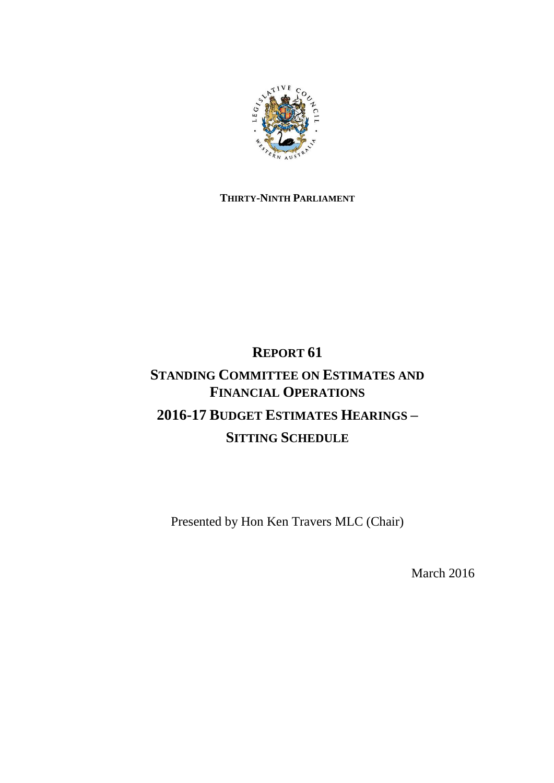

## **THIRTY-NINTH PARLIAMENT**

# **REPORT 61**

# **STANDING COMMITTEE ON ESTIMATES AND FINANCIAL OPERATIONS 2016-17 BUDGET ESTIMATES HEARINGS – SITTING SCHEDULE**

Presented by Hon Ken Travers MLC (Chair)

March 2016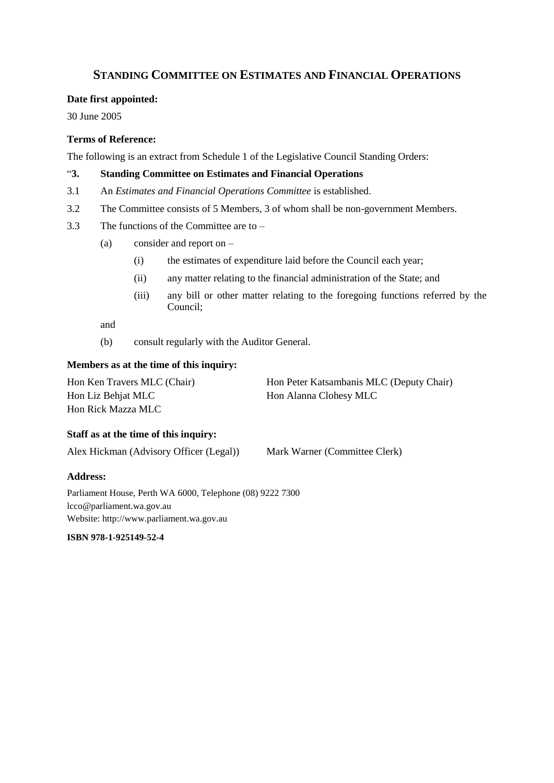### **STANDING COMMITTEE ON ESTIMATES AND FINANCIAL OPERATIONS**

#### **Date first appointed:**

30 June 2005

#### **Terms of Reference:**

The following is an extract from Schedule 1 of the Legislative Council Standing Orders:

#### "**3. Standing Committee on Estimates and Financial Operations**

- 3.1 An *Estimates and Financial Operations Committee* is established.
- 3.2 The Committee consists of 5 Members, 3 of whom shall be non-government Members.
- 3.3 The functions of the Committee are to
	- (a) consider and report on
		- (i) the estimates of expenditure laid before the Council each year;
		- (ii) any matter relating to the financial administration of the State; and
		- (iii) any bill or other matter relating to the foregoing functions referred by the Council;

and

(b) consult regularly with the Auditor General.

#### **Members as at the time of this inquiry:**

| Hon Ken Travers MLC (Chair) | Hon Peter Katsambanis MLC (Deputy Chair) |
|-----------------------------|------------------------------------------|
| Hon Liz Behjat MLC          | Hon Alanna Clohesy MLC                   |
| Hon Rick Mazza MLC          |                                          |

#### **Staff as at the time of this inquiry:**

Alex Hickman (Advisory Officer (Legal)) Mark Warner (Committee Clerk)

#### **Address:**

Parliament House, Perth WA 6000, Telephone (08) 9222 7300 lcco@parliament.wa.gov.au Website: http://www.parliament.wa.gov.au

**ISBN [978-1-925149-52-4](https://www.myidentifiers.com.au/myaccount_manageisbns_titlereg?isbn=978-1-925149-52-4&icon_type=new)**